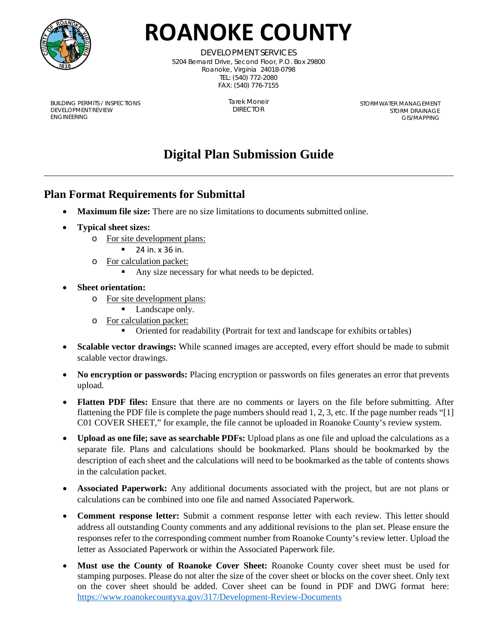

# **ROANOKE COUNTY**

DEVELOPMENT SERVICES 5204 Bernard Drive, Second Floor, P.O. Box 29800 Roanoke, Virginia 24018-0798 TEL: (540) 772-2080 FAX: (540) 776-7155

BUILDING PERMITS / INSPECTIONS DEVELOPMENT REVIEW ENGINEERING

Tarek Moneir DIRECTOR

STORMWATER MANAGEMENT STORM DRAINAGE GIS/MAPPING

# **Digital Plan Submission Guide**

## **Plan Format Requirements for Submittal**

- **Maximum file size:** There are no size limitations to documents submitted online.
- **Typical sheet sizes:**
	- o For site development plans:
		- $\blacksquare$  24 in. x 36 in.
	- $\overline{p}$  For calculation packet:
		- Any size necessary for what needs to be depicted.
- **Sheet orientation:**
	- o For site development plans:
		- Landscape only.
	- o For calculation packet:
		- Oriented for readability (Portrait for text and landscape for exhibits ortables)
- **Scalable vector drawings:** While scanned images are accepted, every effort should be made to submit scalable vector drawings.
- **No encryption or passwords:** Placing encryption or passwords on files generates an error that prevents upload.
- **Flatten PDF files:** Ensure that there are no comments or layers on the file before submitting. After flattening the PDF file is complete the page numbers should read 1, 2, 3, etc. If the page number reads "[1] C01 COVER SHEET," for example, the file cannot be uploaded in Roanoke County's review system.
- **Upload as one file; save as searchable PDFs:** Upload plans as one file and upload the calculations as a separate file. Plans and calculations should be bookmarked. Plans should be bookmarked by the description of each sheet and the calculations will need to be bookmarked as the table of contents shows in the calculation packet.
- **Associated Paperwork:** Any additional documents associated with the project, but are not plans or calculations can be combined into one file and named Associated Paperwork.
- **Comment response letter:** Submit a comment response letter with each review. This letter should address all outstanding County comments and any additional revisions to the plan set. Please ensure the responses refer to the corresponding comment number from Roanoke County's review letter. Upload the letter as Associated Paperwork or within the Associated Paperwork file.
- **Must use the County of Roanoke Cover Sheet:** Roanoke County cover sheet must be used for stamping purposes. Please do not alter the size of the cover sheet or blocks on the cover sheet. Only text on the cover sheet should be added. Cover sheet can be found in PDF and DWG format here: <https://www.roanokecountyva.gov/317/Development-Review-Documents>